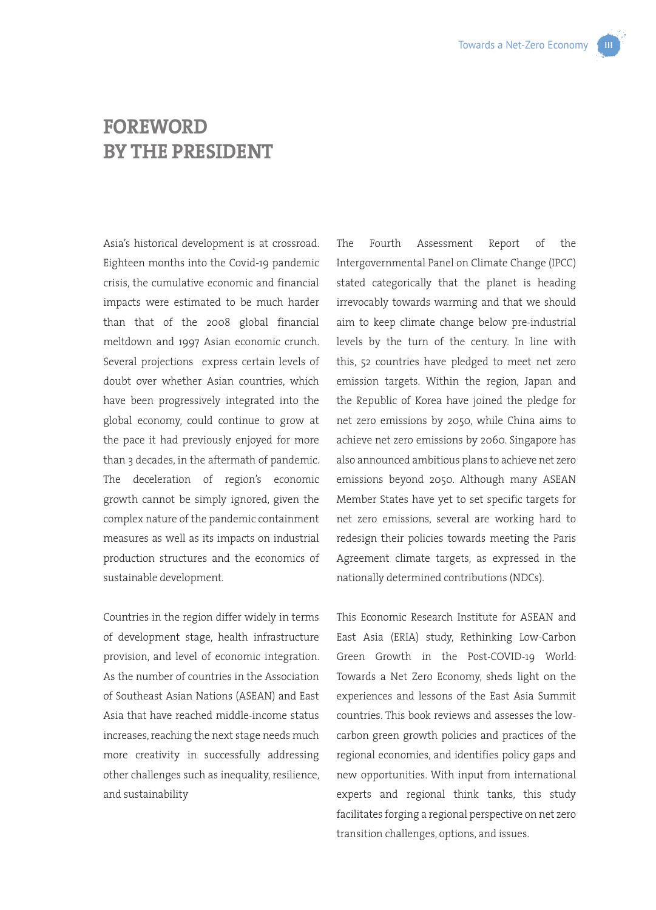

## **FOREWORD BY THE PRESIDENT**

Asia's historical development is at crossroad. Eighteen months into the Covid-19 pandemic crisis, the cumulative economic and financial impacts were estimated to be much harder than that of the 2008 global financial meltdown and 1997 Asian economic crunch. Several projections express certain levels of doubt over whether Asian countries, which have been progressively integrated into the global economy, could continue to grow at the pace it had previously enjoyed for more than 3 decades, in the aftermath of pandemic. The deceleration of region's economic growth cannot be simply ignored, given the complex nature of the pandemic containment measures as well as its impacts on industrial production structures and the economics of sustainable development.

Countries in the region differ widely in terms of development stage, health infrastructure provision, and level of economic integration. As the number of countries in the Association of Southeast Asian Nations (ASEAN) and East Asia that have reached middle-income status increases, reaching the next stage needs much more creativity in successfully addressing other challenges such as inequality, resilience, and sustainability

The Fourth Assessment Report of the Intergovernmental Panel on Climate Change (IPCC) stated categorically that the planet is heading irrevocably towards warming and that we should aim to keep climate change below pre-industrial levels by the turn of the century. In line with this, 52 countries have pledged to meet net zero emission targets. Within the region, Japan and the Republic of Korea have joined the pledge for net zero emissions by 2050, while China aims to achieve net zero emissions by 2060. Singapore has also announced ambitious plans to achieve net zero emissions beyond 2050. Although many ASEAN Member States have yet to set specific targets for net zero emissions, several are working hard to redesign their policies towards meeting the Paris Agreement climate targets, as expressed in the nationally determined contributions (NDCs).

This Economic Research Institute for ASEAN and East Asia (ERIA) study, Rethinking Low-Carbon Green Growth in the Post-COVID-19 World: Towards a Net Zero Economy, sheds light on the experiences and lessons of the East Asia Summit countries. This book reviews and assesses the lowcarbon green growth policies and practices of the regional economies, and identifies policy gaps and new opportunities. With input from international experts and regional think tanks, this study facilitates forging a regional perspective on net zero transition challenges, options, and issues.